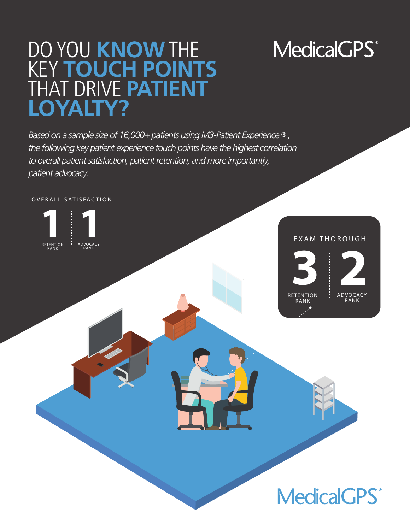# **MedicalGPS**<sup>®</sup>

## DO YOU **KNOW** THE KEY **TOUCH POINTS** THAT DRIVE **PATIENT LOYALTY?**

*Based on a sample size of 16,000+ patients using M3-Patient Experience ® , the following key patient experience touch points have the highest correlation to overall patient satisfaction, patient retention, and more importantly, patient advocacy.*

OVERALL SATISFACTION



#### EXAM THOROUGH



ADVOCACY RANK **2** 

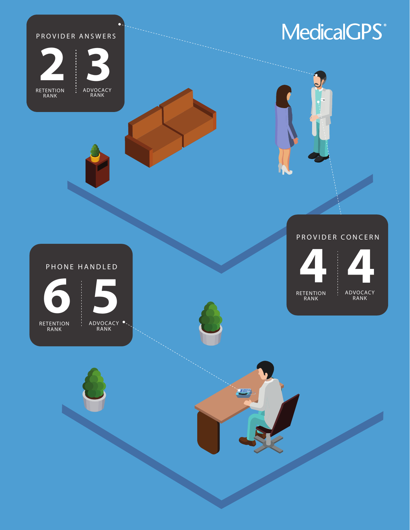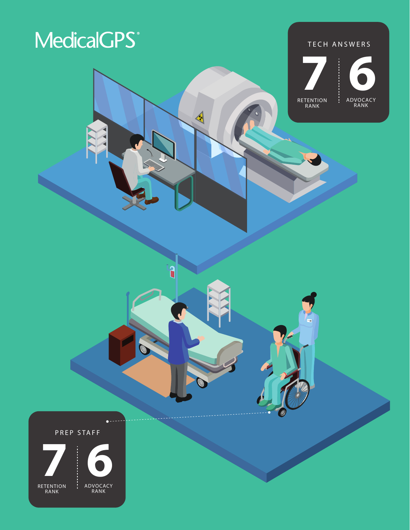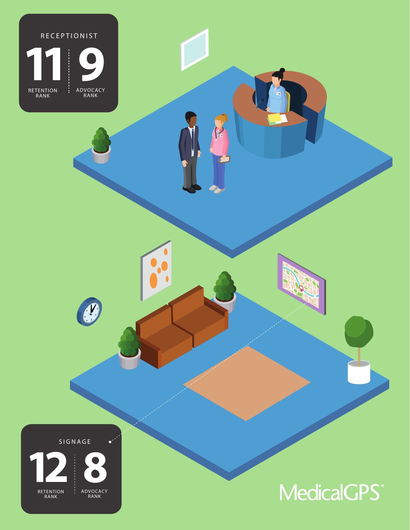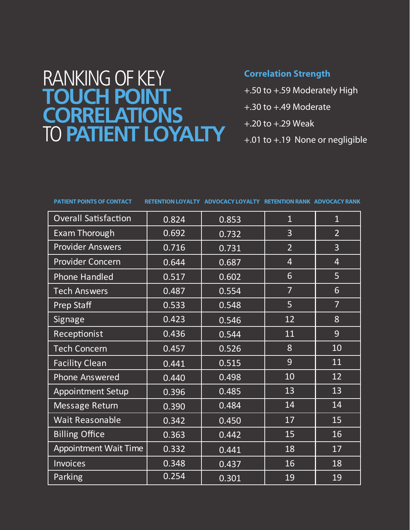### RANKING OF KEY **TOUCH POINT CORRELATIONS** TO **PATIENT LOYALTY**

#### **Correlation Strength**

- +.50 to +.59 Moderately High
- +.30 to +.49 Moderate
- +.20 to +.29 Weak
- +.01 to +.19 None or negligible

| <b>Overall Satisfaction</b>  | 0.824 | 0.853 | $\overline{1}$ | $\overline{1}$ |
|------------------------------|-------|-------|----------------|----------------|
| <b>Exam Thorough</b>         | 0.692 | 0.732 | 3              | $\overline{2}$ |
| <b>Provider Answers</b>      | 0.716 | 0.731 | $\overline{2}$ | $\overline{3}$ |
| <b>Provider Concern</b>      | 0.644 | 0.687 | $\overline{4}$ | $\overline{4}$ |
| <b>Phone Handled</b>         | 0.517 | 0.602 | 6              | 5              |
| <b>Tech Answers</b>          | 0.487 | 0.554 | $\overline{7}$ | 6              |
| <b>Prep Staff</b>            | 0.533 | 0.548 | 5              | $\overline{7}$ |
| Signage                      | 0.423 | 0.546 | 12             | 8              |
| Receptionist                 | 0.436 | 0.544 | 11             | 9              |
| <b>Tech Concern</b>          | 0.457 | 0.526 | 8              | 10             |
| <b>Facility Clean</b>        | 0.441 | 0.515 | 9              | 11             |
| <b>Phone Answered</b>        | 0.440 | 0.498 | 10             | 12             |
| <b>Appointment Setup</b>     | 0.396 | 0.485 | 13             | 13             |
| Message Return               | 0.390 | 0.484 | 14             | 14             |
| <b>Wait Reasonable</b>       | 0.342 | 0.450 | 17             | 15             |
| <b>Billing Office</b>        | 0.363 | 0.442 | 15             | 16             |
| <b>Appointment Wait Time</b> | 0.332 | 0.441 | 18             | 17             |
| <b>Invoices</b>              | 0.348 | 0.437 | 16             | 18             |
| Parking                      | 0.254 | 0.301 | 19             | 19             |

**PATIENT POINTS OF CONTACT RETENTION LOYALTY ADVOCACY LOYALTY RETENTION RANK ADVOCACY RANK**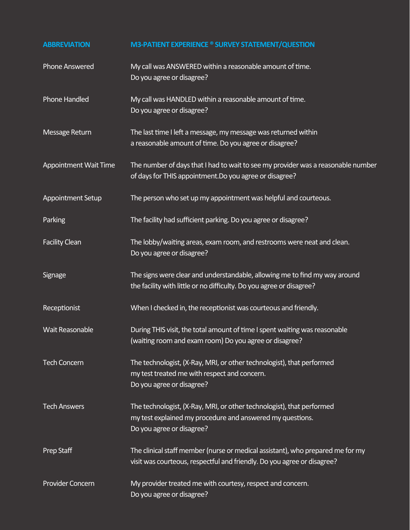| <b>ABBREVIATION</b>          | <b>M3-PATIENT EXPERIENCE ® SURVEY STATEMENT/QUESTION</b>                                                                                                        |
|------------------------------|-----------------------------------------------------------------------------------------------------------------------------------------------------------------|
| <b>Phone Answered</b>        | My call was ANSWERED within a reasonable amount of time.<br>Do you agree or disagree?                                                                           |
| Phone Handled                | My call was HANDLED within a reasonable amount of time.<br>Do you agree or disagree?                                                                            |
| Message Return               | The last time I left a message, my message was returned within<br>a reasonable amount of time. Do you agree or disagree?                                        |
| <b>Appointment Wait Time</b> | The number of days that I had to wait to see my provider was a reasonable number<br>of days for THIS appointment. Do you agree or disagree?                     |
| <b>Appointment Setup</b>     | The person who set up my appointment was helpful and courteous.                                                                                                 |
| Parking                      | The facility had sufficient parking. Do you agree or disagree?                                                                                                  |
| <b>Facility Clean</b>        | The lobby/waiting areas, exam room, and restrooms were neat and clean.<br>Do you agree or disagree?                                                             |
| <b>Signage</b>               | The signs were clear and understandable, allowing me to find my way around<br>the facility with little or no difficulty. Do you agree or disagree?              |
| Receptionist                 | When I checked in, the receptionist was courteous and friendly.                                                                                                 |
| <b>Wait Reasonable</b>       | During THIS visit, the total amount of time I spent waiting was reasonable<br>(waiting room and exam room) Do you agree or disagree?                            |
| <b>Tech Concern</b>          | The technologist, (X-Ray, MRI, or other technologist), that performed<br>my test treated me with respect and concern.<br>Do you agree or disagree?              |
| <b>Tech Answers</b>          | The technologist, (X-Ray, MRI, or other technologist), that performed<br>my test explained my procedure and answered my questions.<br>Do you agree or disagree? |
| Prep Staff                   | The clinical staff member (nurse or medical assistant), who prepared me for my<br>visit was courteous, respectful and friendly. Do you agree or disagree?       |
| Provider Concern             | My provider treated me with courtesy, respect and concern.<br>Do you agree or disagree?                                                                         |